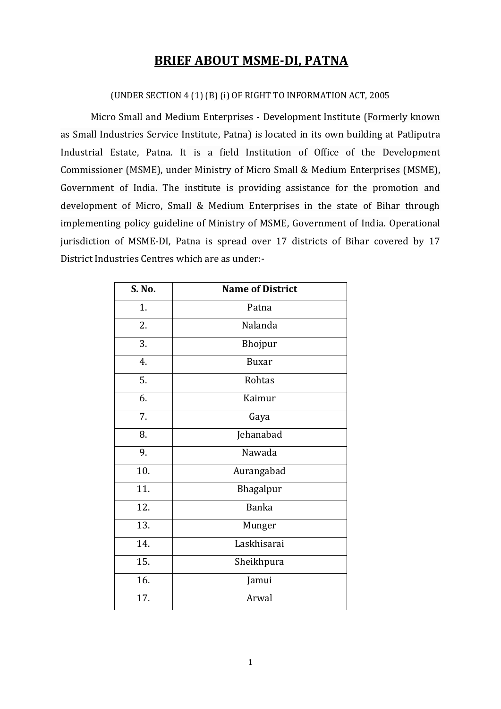## **BRIEF ABOUT MSME-DI, PATNA**

#### (UNDER SECTION 4 (1) (B) (i) OF RIGHT TO INFORMATION ACT, 2005

Micro Small and Medium Enterprises - Development Institute (Formerly known as Small Industries Service Institute, Patna) is located in its own building at Patliputra Industrial Estate, Patna. It is a field Institution of Office of the Development Commissioner (MSME), under Ministry of Micro Small & Medium Enterprises (MSME), Government of India. The institute is providing assistance for the promotion and development of Micro, Small & Medium Enterprises in the state of Bihar through implementing policy guideline of Ministry of MSME, Government of India. Operational jurisdiction of MSME-DI, Patna is spread over 17 districts of Bihar covered by 17 District Industries Centres which are as under:-

| S. No. | <b>Name of District</b> |
|--------|-------------------------|
| 1.     | Patna                   |
| 2.     | Nalanda                 |
| 3.     | Bhojpur                 |
| 4.     | <b>Buxar</b>            |
| 5.     | Rohtas                  |
| 6.     | Kaimur                  |
| 7.     | Gaya                    |
| 8.     | Jehanabad               |
| 9.     | Nawada                  |
| 10.    | Aurangabad              |
| 11.    | Bhagalpur               |
| 12.    | <b>Banka</b>            |
| 13.    | Munger                  |
| 14.    | Laskhisarai             |
| 15.    | Sheikhpura              |
| 16.    | Jamui                   |
| 17.    | Arwal                   |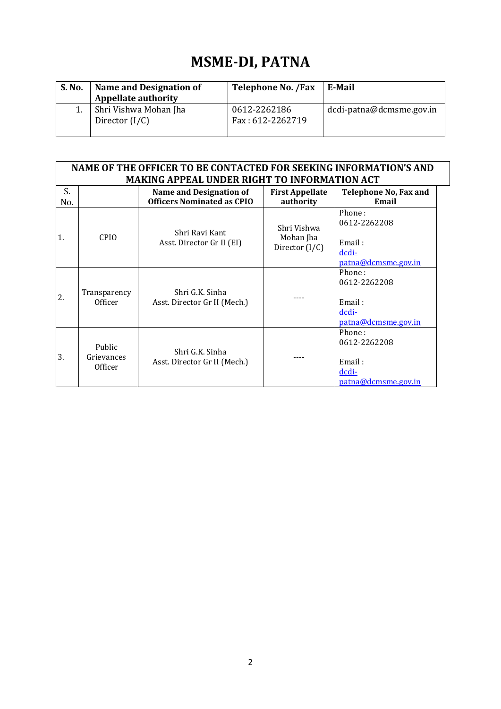# **MSME-DI, PATNA**

| S. No. | Name and Designation of<br><b>Appellate authority</b> | <b>Telephone No. /Fax</b>        | E-Mail                   |
|--------|-------------------------------------------------------|----------------------------------|--------------------------|
|        | Shri Vishwa Mohan Jha<br>Director $(I/C)$             | 0612-2262186<br>Fax: 612-2262719 | dcdi-patna@dcmsme.gov.in |

| NAME OF THE OFFICER TO BE CONTACTED FOR SEEKING INFORMATION'S AND |                                 |                                                 |                                              |                                                                  |  |
|-------------------------------------------------------------------|---------------------------------|-------------------------------------------------|----------------------------------------------|------------------------------------------------------------------|--|
| <b>MAKING APPEAL UNDER RIGHT TO INFORMATION ACT</b>               |                                 |                                                 |                                              |                                                                  |  |
| S.                                                                |                                 | <b>Name and Designation of</b>                  | <b>First Appellate</b>                       | <b>Telephone No, Fax and</b>                                     |  |
| No.                                                               |                                 | <b>Officers Nominated as CPIO</b>               | authority                                    | Email                                                            |  |
| 1.                                                                | CPIO.                           | Shri Ravi Kant<br>Asst. Director Gr II (EI)     | Shri Vishwa<br>Mohan Jha<br>Director $(I/C)$ | Phone:<br>0612-2262208                                           |  |
|                                                                   |                                 |                                                 |                                              | Email:<br>dcdi-<br>patna@dcmsme.gov.in                           |  |
| $\overline{2}$ .                                                  | Transparency<br>Officer         | Shri G.K. Sinha<br>Asst. Director Gr II (Mech.) |                                              | Phone:<br>0612-2262208<br>Email:<br>dcdi-<br>patna@dcmsme.gov.in |  |
| 3.                                                                | Public<br>Grievances<br>Officer | Shri G.K. Sinha<br>Asst. Director Gr II (Mech.) |                                              | Phone:<br>0612-2262208<br>Email:<br>dcdi-                        |  |

[patna@dcmsme.gov.in](mailto:dcdi-patna@dcmsme.gov.in)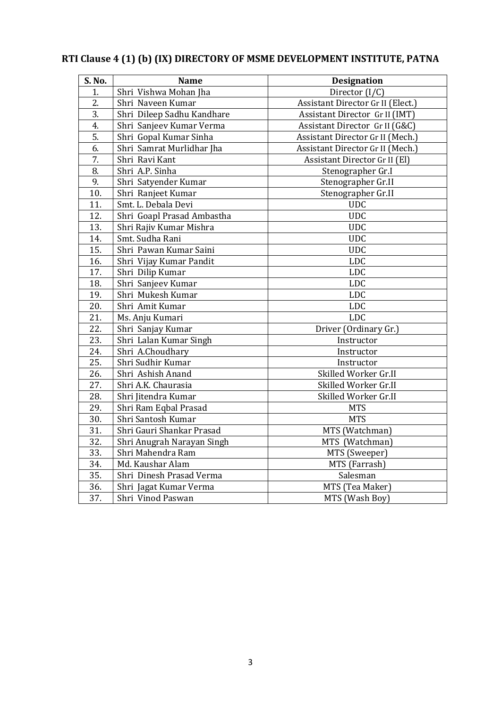| S. No. | <b>Name</b>                | <b>Designation</b>                |  |  |
|--------|----------------------------|-----------------------------------|--|--|
| 1.     | Shri Vishwa Mohan Jha      | Director (I/C)                    |  |  |
| 2.     | Shri Naveen Kumar          | Assistant Director Gr II (Elect.) |  |  |
| 3.     | Shri Dileep Sadhu Kandhare | Assistant Director Gr II (IMT)    |  |  |
| 4.     | Shri Sanjeev Kumar Verma   | Assistant Director Gr II (G&C)    |  |  |
| 5.     | Shri Gopal Kumar Sinha     | Assistant Director Gr II (Mech.)  |  |  |
| 6.     | Shri Samrat Murlidhar Jha  | Assistant Director Gr II (Mech.)  |  |  |
| 7.     | Shri Ravi Kant             | Assistant Director Gr II (El)     |  |  |
| 8.     | Shri A.P. Sinha            | Stenographer Gr.I                 |  |  |
| 9.     | Shri Satyender Kumar       | Stenographer Gr.II                |  |  |
| 10.    | Shri Ranjeet Kumar         | Stenographer Gr.II                |  |  |
| 11.    | Smt. L. Debala Devi        | <b>UDC</b>                        |  |  |
| 12.    | Shri Goapl Prasad Ambastha | <b>UDC</b>                        |  |  |
| 13.    | Shri Rajiv Kumar Mishra    | <b>UDC</b>                        |  |  |
| 14.    | Smt. Sudha Rani            | <b>UDC</b>                        |  |  |
| 15.    | Shri Pawan Kumar Saini     | <b>UDC</b>                        |  |  |
| 16.    | Shri Vijay Kumar Pandit    | <b>LDC</b>                        |  |  |
| 17.    | Shri Dilip Kumar           | <b>LDC</b>                        |  |  |
| 18.    | Shri Sanjeev Kumar         | <b>LDC</b>                        |  |  |
| 19.    | Shri Mukesh Kumar          | <b>LDC</b>                        |  |  |
| 20.    | Shri Amit Kumar            | <b>LDC</b>                        |  |  |
| 21.    | Ms. Anju Kumari            | <b>LDC</b>                        |  |  |
| 22.    | Shri Sanjay Kumar          | Driver (Ordinary Gr.)             |  |  |
| 23.    | Shri Lalan Kumar Singh     | Instructor                        |  |  |
| 24.    | Shri A.Choudhary           | Instructor                        |  |  |
| 25.    | Shri Sudhir Kumar          | Instructor                        |  |  |
| 26.    | Shri Ashish Anand          | Skilled Worker Gr.II              |  |  |
| 27.    | Shri A.K. Chaurasia        | Skilled Worker Gr.II              |  |  |
| 28.    | Shri Jitendra Kumar        | Skilled Worker Gr.II              |  |  |
| 29.    | Shri Ram Eqbal Prasad      | <b>MTS</b>                        |  |  |
| 30.    | Shri Santosh Kumar         | <b>MTS</b>                        |  |  |
| 31.    | Shri Gauri Shankar Prasad  | MTS (Watchman)                    |  |  |
| 32.    | Shri Anugrah Narayan Singh | MTS (Watchman)                    |  |  |
| 33.    | Shri Mahendra Ram          | MTS (Sweeper)                     |  |  |
| 34.    | Md. Kaushar Alam           | MTS (Farrash)                     |  |  |
| 35.    | Shri Dinesh Prasad Verma   | Salesman                          |  |  |
| 36.    | Shri Jagat Kumar Verma     | MTS (Tea Maker)                   |  |  |
| 37.    | Shri Vinod Paswan          | MTS (Wash Boy)                    |  |  |

# **RTI Clause 4 (1) (b) (IX) DIRECTORY OF MSME DEVELOPMENT INSTITUTE, PATNA**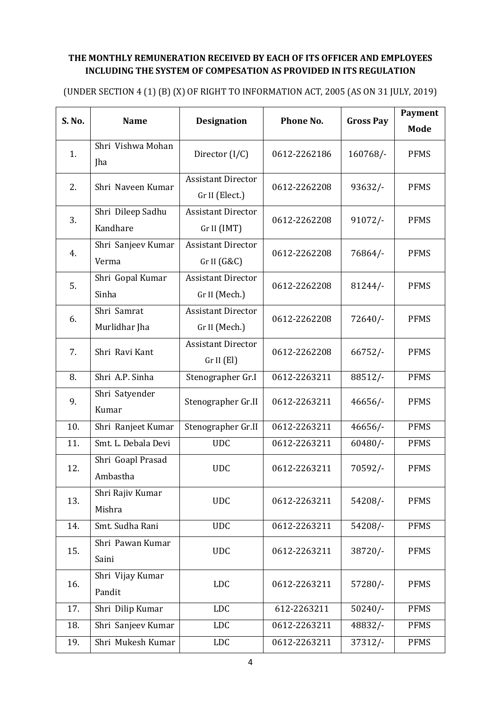### **THE MONTHLY REMUNERATION RECEIVED BY EACH OF ITS OFFICER AND EMPLOYEES INCLUDING THE SYSTEM OF COMPESATION AS PROVIDED IN ITS REGULATION**

(UNDER SECTION 4 (1) (B) (X) OF RIGHT TO INFORMATION ACT, 2005 (AS ON 31 JULY, 2019)

| S. No. | <b>Name</b>                   | <b>Designation</b>                          | Phone No.    | <b>Gross Pay</b> | <b>Payment</b><br>Mode |
|--------|-------------------------------|---------------------------------------------|--------------|------------------|------------------------|
| 1.     | Shri Vishwa Mohan<br>Jha      | Director $(I/C)$                            | 0612-2262186 | 160768/-         | <b>PFMS</b>            |
| 2.     | Shri Naveen Kumar             | <b>Assistant Director</b><br>Gr II (Elect.) | 0612-2262208 | $93632/$ -       | <b>PFMS</b>            |
| 3.     | Shri Dileep Sadhu<br>Kandhare | <b>Assistant Director</b><br>Gr II (IMT)    | 0612-2262208 | $91072/-$        | <b>PFMS</b>            |
| 4.     | Shri Sanjeev Kumar<br>Verma   | <b>Assistant Director</b><br>Gr II (G&C)    | 0612-2262208 | 76864/-          | <b>PFMS</b>            |
| 5.     | Shri Gopal Kumar<br>Sinha     | <b>Assistant Director</b><br>Gr II (Mech.)  | 0612-2262208 | $81244/-$        | <b>PFMS</b>            |
| 6.     | Shri Samrat<br>Murlidhar Jha  | <b>Assistant Director</b><br>Gr II (Mech.)  | 0612-2262208 | 72640/           | <b>PFMS</b>            |
| 7.     | Shri Ravi Kant                | <b>Assistant Director</b><br>Gr II (El)     | 0612-2262208 | 66752/           | <b>PFMS</b>            |
| 8.     | Shri A.P. Sinha               | Stenographer Gr.I                           | 0612-2263211 | 88512/-          | <b>PFMS</b>            |
| 9.     | Shri Satyender<br>Kumar       | Stenographer Gr.II                          | 0612-2263211 | $46656/-$        | <b>PFMS</b>            |
| 10.    | Shri Ranjeet Kumar            | Stenographer Gr.II                          | 0612-2263211 | $46656/$ -       | <b>PFMS</b>            |
| 11.    | Smt. L. Debala Devi           | <b>UDC</b>                                  | 0612-2263211 | $60480/-$        | <b>PFMS</b>            |
| 12.    | Shri Goapl Prasad<br>Ambastha | <b>UDC</b>                                  | 0612-2263211 | 70592/-          | <b>PFMS</b>            |
| 13.    | Shri Rajiv Kumar<br>Mishra    | <b>UDC</b>                                  | 0612-2263211 | $54208/-$        | <b>PFMS</b>            |
| 14.    | Smt. Sudha Rani               | <b>UDC</b>                                  | 0612-2263211 | 54208/-          | <b>PFMS</b>            |
| 15.    | Shri Pawan Kumar<br>Saini     | <b>UDC</b>                                  | 0612-2263211 | 38720/-          | <b>PFMS</b>            |
| 16.    | Shri Vijay Kumar<br>Pandit    | <b>LDC</b>                                  | 0612-2263211 | 57280/-          | <b>PFMS</b>            |
| 17.    | Shri Dilip Kumar              | <b>LDC</b>                                  | 612-2263211  | $50240/-$        | <b>PFMS</b>            |
| 18.    | Shri Sanjeev Kumar            | LDC                                         | 0612-2263211 | 48832/-          | <b>PFMS</b>            |
| 19.    | Shri Mukesh Kumar             | LDC                                         | 0612-2263211 | $37312/-$        | <b>PFMS</b>            |